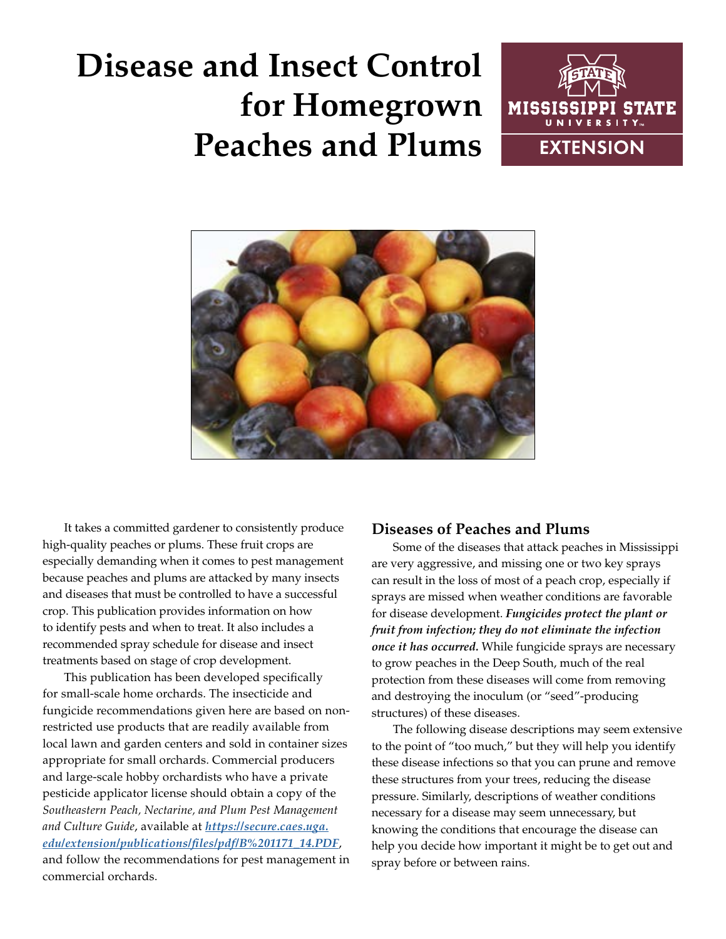# **Disease and Insect Control for Homegrown Peaches and Plums**





It takes a committed gardener to consistently produce high-quality peaches or plums. These fruit crops are especially demanding when it comes to pest management because peaches and plums are attacked by many insects and diseases that must be controlled to have a successful crop. This publication provides information on how to identify pests and when to treat. It also includes a recommended spray schedule for disease and insect treatments based on stage of crop development.

This publication has been developed specifically for small-scale home orchards. The insecticide and fungicide recommendations given here are based on nonrestricted use products that are readily available from local lawn and garden centers and sold in container sizes appropriate for small orchards. Commercial producers and large-scale hobby orchardists who have a private pesticide applicator license should obtain a copy of the *Southeastern Peach, Nectarine, and Plum Pest Management and Culture Guide*, available at *[https://secure.caes.uga.](https://secure.caes.uga.edu/extension/publications/files/pdf/B%201171_14.PDF) [edu/extension/publications/files/pdf/B%201171\\_14.PDF](https://secure.caes.uga.edu/extension/publications/files/pdf/B%201171_14.PDF)*, and follow the recommendations for pest management in commercial orchards.

# **Diseases of Peaches and Plums**

Some of the diseases that attack peaches in Mississippi are very aggressive, and missing one or two key sprays can result in the loss of most of a peach crop, especially if sprays are missed when weather conditions are favorable for disease development. *Fungicides protect the plant or fruit from infection; they do not eliminate the infection once it has occurred.* While fungicide sprays are necessary to grow peaches in the Deep South, much of the real protection from these diseases will come from removing and destroying the inoculum (or "seed"-producing structures) of these diseases.

The following disease descriptions may seem extensive to the point of "too much," but they will help you identify these disease infections so that you can prune and remove these structures from your trees, reducing the disease pressure. Similarly, descriptions of weather conditions necessary for a disease may seem unnecessary, but knowing the conditions that encourage the disease can help you decide how important it might be to get out and spray before or between rains.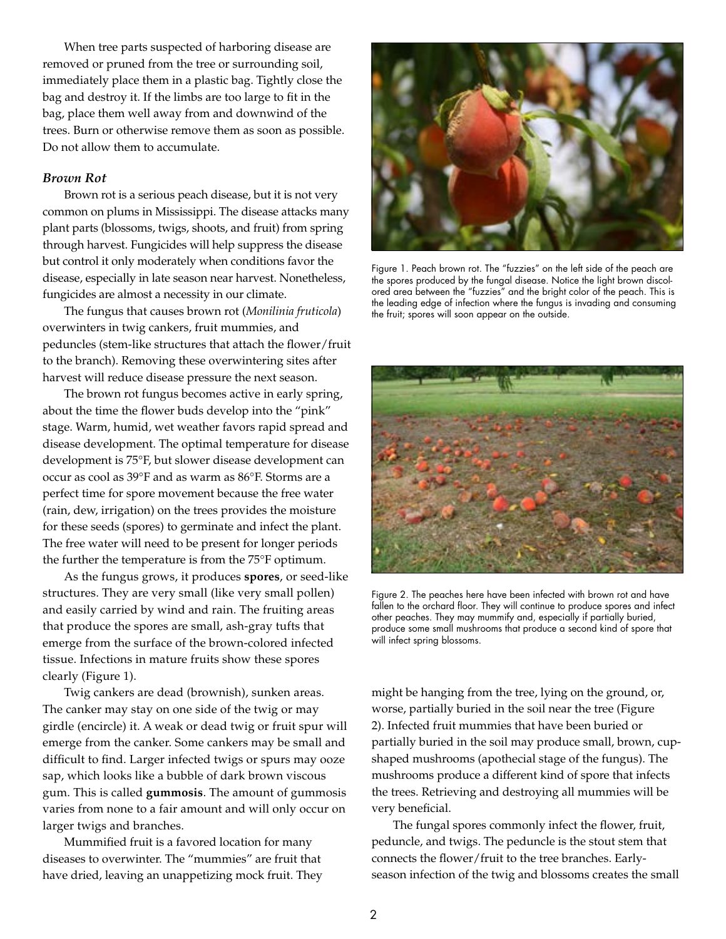When tree parts suspected of harboring disease are removed or pruned from the tree or surrounding soil, immediately place them in a plastic bag. Tightly close the bag and destroy it. If the limbs are too large to fit in the bag, place them well away from and downwind of the trees. Burn or otherwise remove them as soon as possible. Do not allow them to accumulate.

#### *Brown Rot*

Brown rot is a serious peach disease, but it is not very common on plums in Mississippi. The disease attacks many plant parts (blossoms, twigs, shoots, and fruit) from spring through harvest. Fungicides will help suppress the disease but control it only moderately when conditions favor the disease, especially in late season near harvest. Nonetheless, fungicides are almost a necessity in our climate.

The fungus that causes brown rot (*Monilinia fruticola*) overwinters in twig cankers, fruit mummies, and peduncles (stem-like structures that attach the flower/fruit to the branch). Removing these overwintering sites after harvest will reduce disease pressure the next season.

The brown rot fungus becomes active in early spring, about the time the flower buds develop into the "pink" stage. Warm, humid, wet weather favors rapid spread and disease development. The optimal temperature for disease development is 75°F, but slower disease development can occur as cool as 39°F and as warm as 86°F. Storms are a perfect time for spore movement because the free water (rain, dew, irrigation) on the trees provides the moisture for these seeds (spores) to germinate and infect the plant. The free water will need to be present for longer periods the further the temperature is from the 75°F optimum.

As the fungus grows, it produces **spores**, or seed-like structures. They are very small (like very small pollen) and easily carried by wind and rain. The fruiting areas that produce the spores are small, ash-gray tufts that emerge from the surface of the brown-colored infected tissue. Infections in mature fruits show these spores clearly (Figure 1).

Twig cankers are dead (brownish), sunken areas. The canker may stay on one side of the twig or may girdle (encircle) it. A weak or dead twig or fruit spur will emerge from the canker. Some cankers may be small and difficult to find. Larger infected twigs or spurs may ooze sap, which looks like a bubble of dark brown viscous gum. This is called **gummosis**. The amount of gummosis varies from none to a fair amount and will only occur on larger twigs and branches.

Mummified fruit is a favored location for many diseases to overwinter. The "mummies" are fruit that have dried, leaving an unappetizing mock fruit. They



Figure 1. Peach brown rot. The "fuzzies" on the left side of the peach are the spores produced by the fungal disease. Notice the light brown discolored area between the "fuzzies" and the bright color of the peach. This is the leading edge of infection where the fungus is invading and consuming the fruit; spores will soon appear on the outside.



Figure 2. The peaches here have been infected with brown rot and have fallen to the orchard floor. They will continue to produce spores and infect other peaches. They may mummify and, especially if partially buried, produce some small mushrooms that produce a second kind of spore that will infect spring blossoms.

might be hanging from the tree, lying on the ground, or, worse, partially buried in the soil near the tree (Figure 2). Infected fruit mummies that have been buried or partially buried in the soil may produce small, brown, cupshaped mushrooms (apothecial stage of the fungus). The mushrooms produce a different kind of spore that infects the trees. Retrieving and destroying all mummies will be very beneficial.

The fungal spores commonly infect the flower, fruit, peduncle, and twigs. The peduncle is the stout stem that connects the flower/fruit to the tree branches. Earlyseason infection of the twig and blossoms creates the small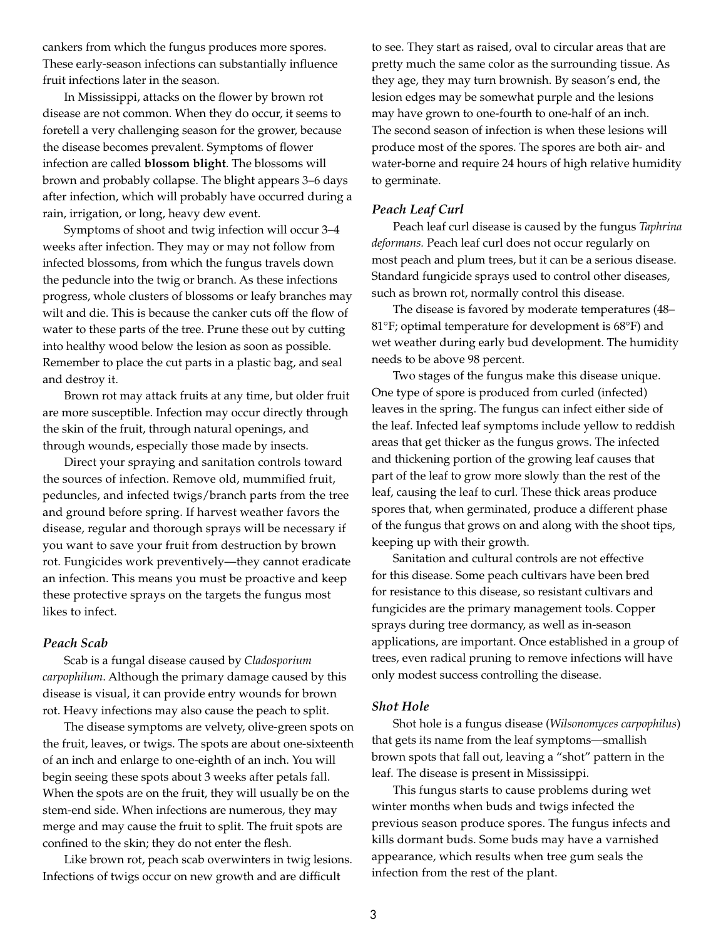cankers from which the fungus produces more spores. These early-season infections can substantially influence fruit infections later in the season.

In Mississippi, attacks on the flower by brown rot disease are not common. When they do occur, it seems to foretell a very challenging season for the grower, because the disease becomes prevalent. Symptoms of flower infection are called **blossom blight**. The blossoms will brown and probably collapse. The blight appears 3–6 days after infection, which will probably have occurred during a rain, irrigation, or long, heavy dew event.

Symptoms of shoot and twig infection will occur 3–4 weeks after infection. They may or may not follow from infected blossoms, from which the fungus travels down the peduncle into the twig or branch. As these infections progress, whole clusters of blossoms or leafy branches may wilt and die. This is because the canker cuts off the flow of water to these parts of the tree. Prune these out by cutting into healthy wood below the lesion as soon as possible. Remember to place the cut parts in a plastic bag, and seal and destroy it.

Brown rot may attack fruits at any time, but older fruit are more susceptible. Infection may occur directly through the skin of the fruit, through natural openings, and through wounds, especially those made by insects.

Direct your spraying and sanitation controls toward the sources of infection. Remove old, mummified fruit, peduncles, and infected twigs/branch parts from the tree and ground before spring. If harvest weather favors the disease, regular and thorough sprays will be necessary if you want to save your fruit from destruction by brown rot. Fungicides work preventively—they cannot eradicate an infection. This means you must be proactive and keep these protective sprays on the targets the fungus most likes to infect.

#### *Peach Scab*

Scab is a fungal disease caused by *Cladosporium carpophilum*. Although the primary damage caused by this disease is visual, it can provide entry wounds for brown rot. Heavy infections may also cause the peach to split.

The disease symptoms are velvety, olive-green spots on the fruit, leaves, or twigs. The spots are about one-sixteenth of an inch and enlarge to one-eighth of an inch. You will begin seeing these spots about 3 weeks after petals fall. When the spots are on the fruit, they will usually be on the stem-end side. When infections are numerous, they may merge and may cause the fruit to split. The fruit spots are confined to the skin; they do not enter the flesh.

Like brown rot, peach scab overwinters in twig lesions. Infections of twigs occur on new growth and are difficult

to see. They start as raised, oval to circular areas that are pretty much the same color as the surrounding tissue. As they age, they may turn brownish. By season's end, the lesion edges may be somewhat purple and the lesions may have grown to one-fourth to one-half of an inch. The second season of infection is when these lesions will produce most of the spores. The spores are both air- and water-borne and require 24 hours of high relative humidity to germinate.

#### *Peach Leaf Curl*

Peach leaf curl disease is caused by the fungus *Taphrina deformans.* Peach leaf curl does not occur regularly on most peach and plum trees, but it can be a serious disease. Standard fungicide sprays used to control other diseases, such as brown rot, normally control this disease.

The disease is favored by moderate temperatures (48– 81°F; optimal temperature for development is 68°F) and wet weather during early bud development. The humidity needs to be above 98 percent.

Two stages of the fungus make this disease unique. One type of spore is produced from curled (infected) leaves in the spring. The fungus can infect either side of the leaf. Infected leaf symptoms include yellow to reddish areas that get thicker as the fungus grows. The infected and thickening portion of the growing leaf causes that part of the leaf to grow more slowly than the rest of the leaf, causing the leaf to curl. These thick areas produce spores that, when germinated, produce a different phase of the fungus that grows on and along with the shoot tips, keeping up with their growth.

Sanitation and cultural controls are not effective for this disease. Some peach cultivars have been bred for resistance to this disease, so resistant cultivars and fungicides are the primary management tools. Copper sprays during tree dormancy, as well as in-season applications, are important. Once established in a group of trees, even radical pruning to remove infections will have only modest success controlling the disease.

#### *Shot Hole*

Shot hole is a fungus disease (*Wilsonomyces carpophilus*) that gets its name from the leaf symptoms—smallish brown spots that fall out, leaving a "shot" pattern in the leaf. The disease is present in Mississippi.

This fungus starts to cause problems during wet winter months when buds and twigs infected the previous season produce spores. The fungus infects and kills dormant buds. Some buds may have a varnished appearance, which results when tree gum seals the infection from the rest of the plant.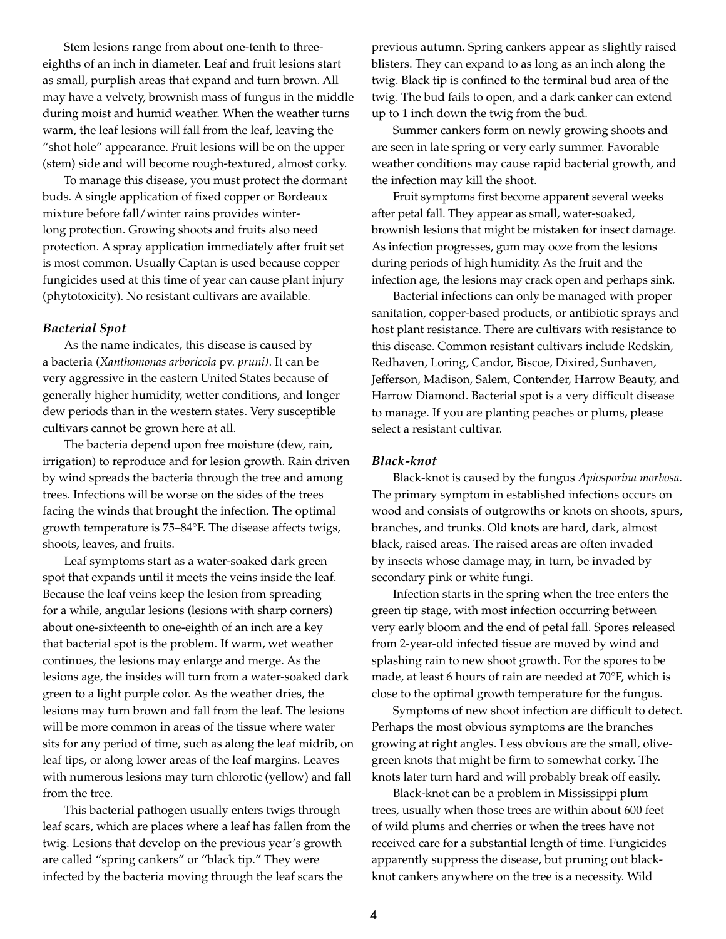Stem lesions range from about one-tenth to threeeighths of an inch in diameter. Leaf and fruit lesions start as small, purplish areas that expand and turn brown. All may have a velvety, brownish mass of fungus in the middle during moist and humid weather. When the weather turns warm, the leaf lesions will fall from the leaf, leaving the "shot hole" appearance. Fruit lesions will be on the upper (stem) side and will become rough-textured, almost corky.

To manage this disease, you must protect the dormant buds. A single application of fixed copper or Bordeaux mixture before fall/winter rains provides winterlong protection. Growing shoots and fruits also need protection. A spray application immediately after fruit set is most common. Usually Captan is used because copper fungicides used at this time of year can cause plant injury (phytotoxicity). No resistant cultivars are available.

#### *Bacterial Spot*

As the name indicates, this disease is caused by a bacteria (*Xanthomonas arboricola* pv. *pruni)*. It can be very aggressive in the eastern United States because of generally higher humidity, wetter conditions, and longer dew periods than in the western states. Very susceptible cultivars cannot be grown here at all.

The bacteria depend upon free moisture (dew, rain, irrigation) to reproduce and for lesion growth. Rain driven by wind spreads the bacteria through the tree and among trees. Infections will be worse on the sides of the trees facing the winds that brought the infection. The optimal growth temperature is 75–84°F. The disease affects twigs, shoots, leaves, and fruits.

Leaf symptoms start as a water-soaked dark green spot that expands until it meets the veins inside the leaf. Because the leaf veins keep the lesion from spreading for a while, angular lesions (lesions with sharp corners) about one-sixteenth to one-eighth of an inch are a key that bacterial spot is the problem. If warm, wet weather continues, the lesions may enlarge and merge. As the lesions age, the insides will turn from a water-soaked dark green to a light purple color. As the weather dries, the lesions may turn brown and fall from the leaf. The lesions will be more common in areas of the tissue where water sits for any period of time, such as along the leaf midrib, on leaf tips, or along lower areas of the leaf margins. Leaves with numerous lesions may turn chlorotic (yellow) and fall from the tree.

This bacterial pathogen usually enters twigs through leaf scars, which are places where a leaf has fallen from the twig. Lesions that develop on the previous year's growth are called "spring cankers" or "black tip." They were infected by the bacteria moving through the leaf scars the

previous autumn. Spring cankers appear as slightly raised blisters. They can expand to as long as an inch along the twig. Black tip is confined to the terminal bud area of the twig. The bud fails to open, and a dark canker can extend up to 1 inch down the twig from the bud.

Summer cankers form on newly growing shoots and are seen in late spring or very early summer. Favorable weather conditions may cause rapid bacterial growth, and the infection may kill the shoot.

Fruit symptoms first become apparent several weeks after petal fall. They appear as small, water-soaked, brownish lesions that might be mistaken for insect damage. As infection progresses, gum may ooze from the lesions during periods of high humidity. As the fruit and the infection age, the lesions may crack open and perhaps sink.

Bacterial infections can only be managed with proper sanitation, copper-based products, or antibiotic sprays and host plant resistance. There are cultivars with resistance to this disease. Common resistant cultivars include Redskin, Redhaven, Loring, Candor, Biscoe, Dixired, Sunhaven, Jefferson, Madison, Salem, Contender, Harrow Beauty, and Harrow Diamond. Bacterial spot is a very difficult disease to manage. If you are planting peaches or plums, please select a resistant cultivar.

#### *Black-knot*

Black-knot is caused by the fungus *Apiosporina morbosa*. The primary symptom in established infections occurs on wood and consists of outgrowths or knots on shoots, spurs, branches, and trunks. Old knots are hard, dark, almost black, raised areas. The raised areas are often invaded by insects whose damage may, in turn, be invaded by secondary pink or white fungi.

Infection starts in the spring when the tree enters the green tip stage, with most infection occurring between very early bloom and the end of petal fall. Spores released from 2-year-old infected tissue are moved by wind and splashing rain to new shoot growth. For the spores to be made, at least 6 hours of rain are needed at 70°F, which is close to the optimal growth temperature for the fungus.

Symptoms of new shoot infection are difficult to detect. Perhaps the most obvious symptoms are the branches growing at right angles. Less obvious are the small, olivegreen knots that might be firm to somewhat corky. The knots later turn hard and will probably break off easily.

Black-knot can be a problem in Mississippi plum trees, usually when those trees are within about 600 feet of wild plums and cherries or when the trees have not received care for a substantial length of time. Fungicides apparently suppress the disease, but pruning out blackknot cankers anywhere on the tree is a necessity. Wild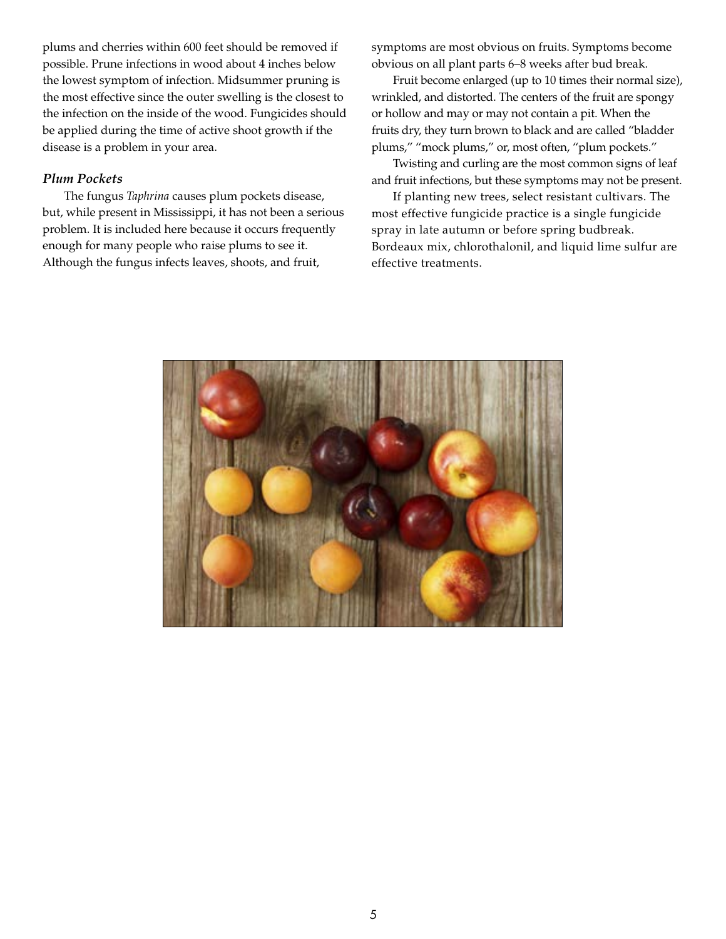plums and cherries within 600 feet should be removed if possible. Prune infections in wood about 4 inches below the lowest symptom of infection. Midsummer pruning is the most effective since the outer swelling is the closest to the infection on the inside of the wood. Fungicides should be applied during the time of active shoot growth if the disease is a problem in your area.

## *Plum Pockets*

The fungus *Taphrina* causes plum pockets disease, but, while present in Mississippi, it has not been a serious problem. It is included here because it occurs frequently enough for many people who raise plums to see it. Although the fungus infects leaves, shoots, and fruit,

symptoms are most obvious on fruits. Symptoms become obvious on all plant parts 6–8 weeks after bud break.

Fruit become enlarged (up to 10 times their normal size), wrinkled, and distorted. The centers of the fruit are spongy or hollow and may or may not contain a pit. When the fruits dry, they turn brown to black and are called "bladder plums," "mock plums," or, most often, "plum pockets."

Twisting and curling are the most common signs of leaf and fruit infections, but these symptoms may not be present.

If planting new trees, select resistant cultivars. The most effective fungicide practice is a single fungicide spray in late autumn or before spring budbreak. Bordeaux mix, chlorothalonil, and liquid lime sulfur are effective treatments.

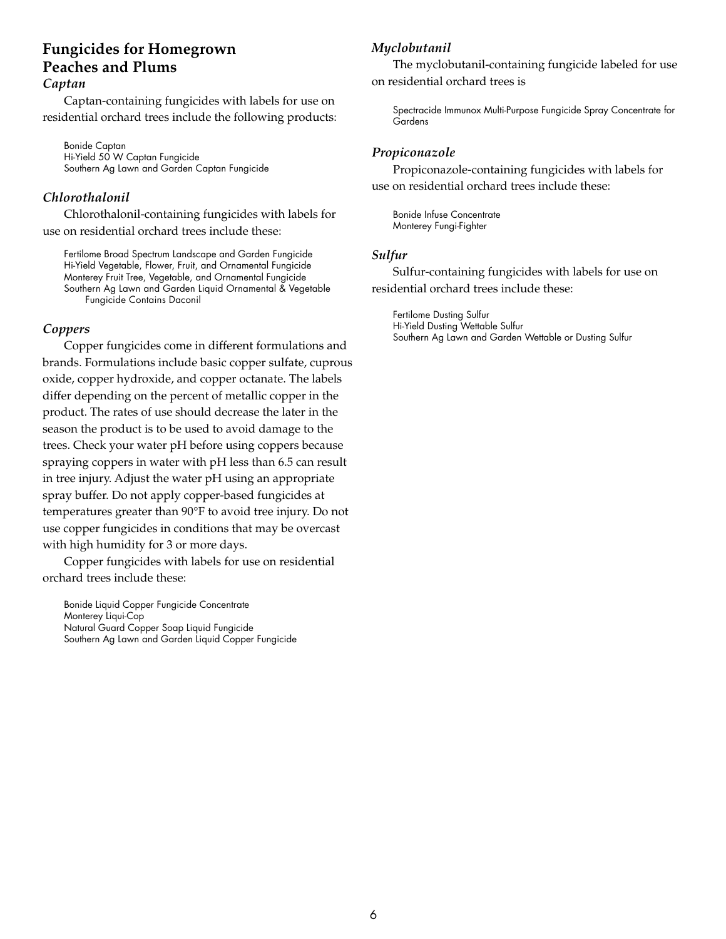# **Fungicides for Homegrown Peaches and Plums** *Captan*

Captan-containing fungicides with labels for use on residential orchard trees include the following products:

Bonide Captan Hi-Yield 50 W Captan Fungicide Southern Ag Lawn and Garden Captan Fungicide

# *Chlorothalonil*

Chlorothalonil-containing fungicides with labels for use on residential orchard trees include these:

Fertilome Broad Spectrum Landscape and Garden Fungicide Hi-Yield Vegetable, Flower, Fruit, and Ornamental Fungicide Monterey Fruit Tree, Vegetable, and Ornamental Fungicide Southern Ag Lawn and Garden Liquid Ornamental & Vegetable Fungicide Contains Daconil

# *Coppers*

Copper fungicides come in different formulations and brands. Formulations include basic copper sulfate, cuprous oxide, copper hydroxide, and copper octanate. The labels differ depending on the percent of metallic copper in the product. The rates of use should decrease the later in the season the product is to be used to avoid damage to the trees. Check your water pH before using coppers because spraying coppers in water with pH less than 6.5 can result in tree injury. Adjust the water pH using an appropriate spray buffer. Do not apply copper-based fungicides at temperatures greater than 90°F to avoid tree injury. Do not use copper fungicides in conditions that may be overcast with high humidity for 3 or more days.

Copper fungicides with labels for use on residential orchard trees include these:

Bonide Liquid Copper Fungicide Concentrate Monterey Liqui-Cop Natural Guard Copper Soap Liquid Fungicide Southern Ag Lawn and Garden Liquid Copper Fungicide

# *Myclobutanil*

The myclobutanil-containing fungicide labeled for use on residential orchard trees is

Spectracide Immunox Multi-Purpose Fungicide Spray Concentrate for Gardens

# *Propiconazole*

Propiconazole-containing fungicides with labels for use on residential orchard trees include these:

Bonide Infuse Concentrate Monterey Fungi-Fighter

## *Sulfur*

Sulfur-containing fungicides with labels for use on residential orchard trees include these:

Fertilome Dusting Sulfur Hi-Yield Dusting Wettable Sulfur Southern Ag Lawn and Garden Wettable or Dusting Sulfur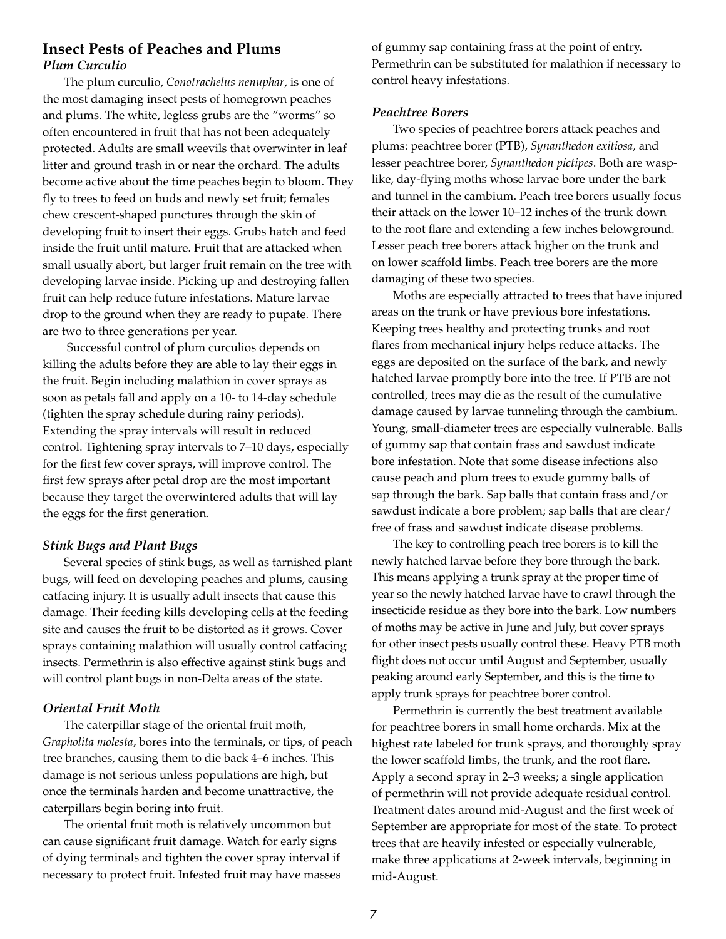# **Insect Pests of Peaches and Plums** *Plum Curculio*

The plum curculio, *Conotrachelus nenuphar*, is one of the most damaging insect pests of homegrown peaches and plums. The white, legless grubs are the "worms" so often encountered in fruit that has not been adequately protected. Adults are small weevils that overwinter in leaf litter and ground trash in or near the orchard. The adults become active about the time peaches begin to bloom. They fly to trees to feed on buds and newly set fruit; females chew crescent-shaped punctures through the skin of developing fruit to insert their eggs. Grubs hatch and feed inside the fruit until mature. Fruit that are attacked when small usually abort, but larger fruit remain on the tree with developing larvae inside. Picking up and destroying fallen fruit can help reduce future infestations. Mature larvae drop to the ground when they are ready to pupate. There are two to three generations per year.

 Successful control of plum curculios depends on killing the adults before they are able to lay their eggs in the fruit. Begin including malathion in cover sprays as soon as petals fall and apply on a 10- to 14-day schedule (tighten the spray schedule during rainy periods). Extending the spray intervals will result in reduced control. Tightening spray intervals to 7–10 days, especially for the first few cover sprays, will improve control. The first few sprays after petal drop are the most important because they target the overwintered adults that will lay the eggs for the first generation.

#### *Stink Bugs and Plant Bugs*

Several species of stink bugs, as well as tarnished plant bugs, will feed on developing peaches and plums, causing catfacing injury. It is usually adult insects that cause this damage. Their feeding kills developing cells at the feeding site and causes the fruit to be distorted as it grows. Cover sprays containing malathion will usually control catfacing insects. Permethrin is also effective against stink bugs and will control plant bugs in non-Delta areas of the state.

#### *Oriental Fruit Moth*

The caterpillar stage of the oriental fruit moth, *Grapholita molesta*, bores into the terminals, or tips, of peach tree branches, causing them to die back 4–6 inches. This damage is not serious unless populations are high, but once the terminals harden and become unattractive, the caterpillars begin boring into fruit.

The oriental fruit moth is relatively uncommon but can cause significant fruit damage. Watch for early signs of dying terminals and tighten the cover spray interval if necessary to protect fruit. Infested fruit may have masses of gummy sap containing frass at the point of entry. Permethrin can be substituted for malathion if necessary to control heavy infestations.

#### *Peachtree Borers*

Two species of peachtree borers attack peaches and plums: peachtree borer (PTB), *Synanthedon exitiosa,* and lesser peachtree borer, *Synanthedon pictipes*. Both are wasplike, day-flying moths whose larvae bore under the bark and tunnel in the cambium. Peach tree borers usually focus their attack on the lower 10–12 inches of the trunk down to the root flare and extending a few inches belowground. Lesser peach tree borers attack higher on the trunk and on lower scaffold limbs. Peach tree borers are the more damaging of these two species.

Moths are especially attracted to trees that have injured areas on the trunk or have previous bore infestations. Keeping trees healthy and protecting trunks and root flares from mechanical injury helps reduce attacks. The eggs are deposited on the surface of the bark, and newly hatched larvae promptly bore into the tree. If PTB are not controlled, trees may die as the result of the cumulative damage caused by larvae tunneling through the cambium. Young, small-diameter trees are especially vulnerable. Balls of gummy sap that contain frass and sawdust indicate bore infestation. Note that some disease infections also cause peach and plum trees to exude gummy balls of sap through the bark. Sap balls that contain frass and/or sawdust indicate a bore problem; sap balls that are clear/ free of frass and sawdust indicate disease problems.

The key to controlling peach tree borers is to kill the newly hatched larvae before they bore through the bark. This means applying a trunk spray at the proper time of year so the newly hatched larvae have to crawl through the insecticide residue as they bore into the bark. Low numbers of moths may be active in June and July, but cover sprays for other insect pests usually control these. Heavy PTB moth flight does not occur until August and September, usually peaking around early September, and this is the time to apply trunk sprays for peachtree borer control.

Permethrin is currently the best treatment available for peachtree borers in small home orchards. Mix at the highest rate labeled for trunk sprays, and thoroughly spray the lower scaffold limbs, the trunk, and the root flare. Apply a second spray in 2–3 weeks; a single application of permethrin will not provide adequate residual control. Treatment dates around mid-August and the first week of September are appropriate for most of the state. To protect trees that are heavily infested or especially vulnerable, make three applications at 2-week intervals, beginning in mid-August.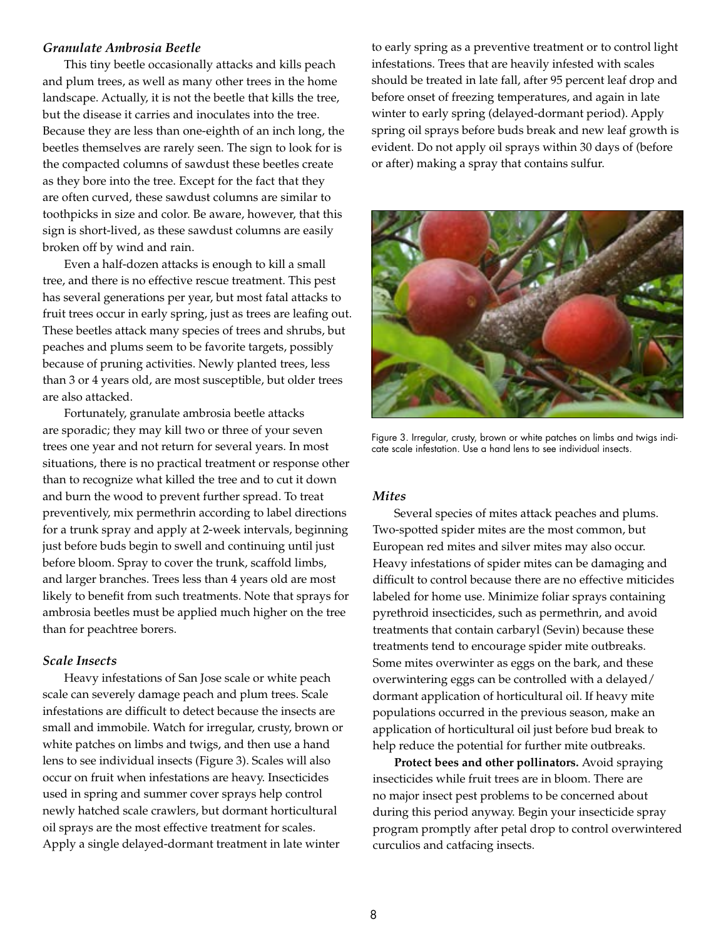#### *Granulate Ambrosia Beetle*

This tiny beetle occasionally attacks and kills peach and plum trees, as well as many other trees in the home landscape. Actually, it is not the beetle that kills the tree, but the disease it carries and inoculates into the tree. Because they are less than one-eighth of an inch long, the beetles themselves are rarely seen. The sign to look for is the compacted columns of sawdust these beetles create as they bore into the tree. Except for the fact that they are often curved, these sawdust columns are similar to toothpicks in size and color. Be aware, however, that this sign is short-lived, as these sawdust columns are easily broken off by wind and rain.

Even a half-dozen attacks is enough to kill a small tree, and there is no effective rescue treatment. This pest has several generations per year, but most fatal attacks to fruit trees occur in early spring, just as trees are leafing out. These beetles attack many species of trees and shrubs, but peaches and plums seem to be favorite targets, possibly because of pruning activities. Newly planted trees, less than 3 or 4 years old, are most susceptible, but older trees are also attacked.

Fortunately, granulate ambrosia beetle attacks are sporadic; they may kill two or three of your seven trees one year and not return for several years. In most situations, there is no practical treatment or response other than to recognize what killed the tree and to cut it down and burn the wood to prevent further spread. To treat preventively, mix permethrin according to label directions for a trunk spray and apply at 2-week intervals, beginning just before buds begin to swell and continuing until just before bloom. Spray to cover the trunk, scaffold limbs, and larger branches. Trees less than 4 years old are most likely to benefit from such treatments. Note that sprays for ambrosia beetles must be applied much higher on the tree than for peachtree borers.

#### *Scale Insects*

Heavy infestations of San Jose scale or white peach scale can severely damage peach and plum trees. Scale infestations are difficult to detect because the insects are small and immobile. Watch for irregular, crusty, brown or white patches on limbs and twigs, and then use a hand lens to see individual insects (Figure 3). Scales will also occur on fruit when infestations are heavy. Insecticides used in spring and summer cover sprays help control newly hatched scale crawlers, but dormant horticultural oil sprays are the most effective treatment for scales. Apply a single delayed-dormant treatment in late winter

to early spring as a preventive treatment or to control light infestations. Trees that are heavily infested with scales should be treated in late fall, after 95 percent leaf drop and before onset of freezing temperatures, and again in late winter to early spring (delayed-dormant period). Apply spring oil sprays before buds break and new leaf growth is evident. Do not apply oil sprays within 30 days of (before or after) making a spray that contains sulfur.



Figure 3. Irregular, crusty, brown or white patches on limbs and twigs indicate scale infestation. Use a hand lens to see individual insects.

#### *Mites*

Several species of mites attack peaches and plums. Two-spotted spider mites are the most common, but European red mites and silver mites may also occur. Heavy infestations of spider mites can be damaging and difficult to control because there are no effective miticides labeled for home use. Minimize foliar sprays containing pyrethroid insecticides, such as permethrin, and avoid treatments that contain carbaryl (Sevin) because these treatments tend to encourage spider mite outbreaks. Some mites overwinter as eggs on the bark, and these overwintering eggs can be controlled with a delayed/ dormant application of horticultural oil. If heavy mite populations occurred in the previous season, make an application of horticultural oil just before bud break to help reduce the potential for further mite outbreaks.

**Protect bees and other pollinators.** Avoid spraying insecticides while fruit trees are in bloom. There are no major insect pest problems to be concerned about during this period anyway. Begin your insecticide spray program promptly after petal drop to control overwintered curculios and catfacing insects.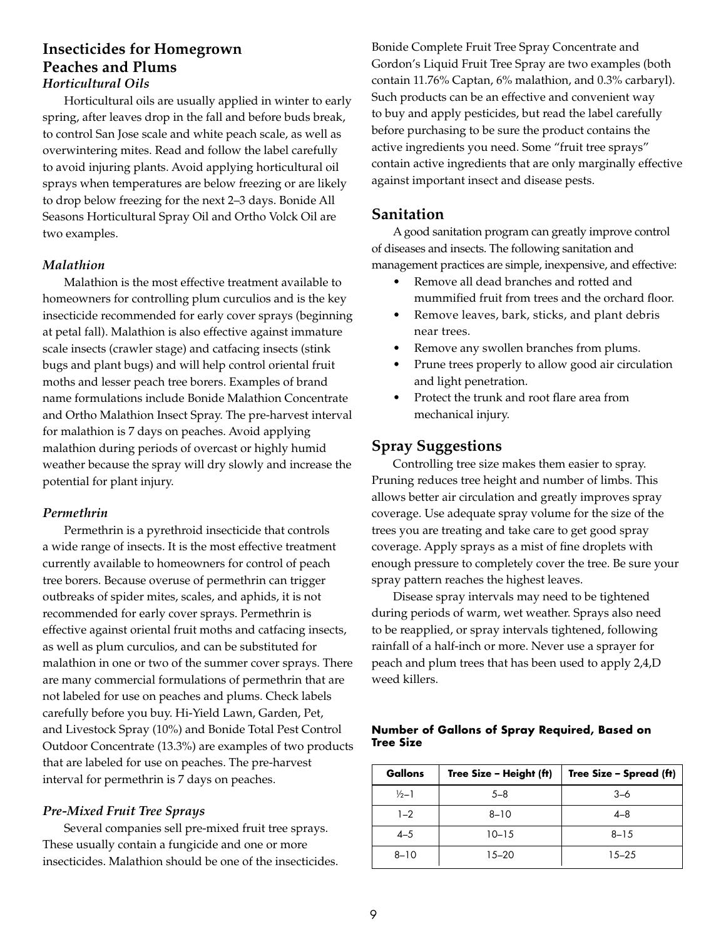# **Insecticides for Homegrown Peaches and Plums** *Horticultural Oils*

Horticultural oils are usually applied in winter to early spring, after leaves drop in the fall and before buds break, to control San Jose scale and white peach scale, as well as overwintering mites. Read and follow the label carefully to avoid injuring plants. Avoid applying horticultural oil sprays when temperatures are below freezing or are likely to drop below freezing for the next 2–3 days. Bonide All Seasons Horticultural Spray Oil and Ortho Volck Oil are two examples.

# *Malathion*

Malathion is the most effective treatment available to homeowners for controlling plum curculios and is the key insecticide recommended for early cover sprays (beginning at petal fall). Malathion is also effective against immature scale insects (crawler stage) and catfacing insects (stink bugs and plant bugs) and will help control oriental fruit moths and lesser peach tree borers. Examples of brand name formulations include Bonide Malathion Concentrate and Ortho Malathion Insect Spray. The pre-harvest interval for malathion is 7 days on peaches. Avoid applying malathion during periods of overcast or highly humid weather because the spray will dry slowly and increase the potential for plant injury.

# *Permethrin*

Permethrin is a pyrethroid insecticide that controls a wide range of insects. It is the most effective treatment currently available to homeowners for control of peach tree borers. Because overuse of permethrin can trigger outbreaks of spider mites, scales, and aphids, it is not recommended for early cover sprays. Permethrin is effective against oriental fruit moths and catfacing insects, as well as plum curculios, and can be substituted for malathion in one or two of the summer cover sprays. There are many commercial formulations of permethrin that are not labeled for use on peaches and plums. Check labels carefully before you buy. Hi-Yield Lawn, Garden, Pet, and Livestock Spray (10%) and Bonide Total Pest Control Outdoor Concentrate (13.3%) are examples of two products that are labeled for use on peaches. The pre-harvest interval for permethrin is 7 days on peaches.

# *Pre-Mixed Fruit Tree Sprays*

Several companies sell pre-mixed fruit tree sprays. These usually contain a fungicide and one or more insecticides. Malathion should be one of the insecticides.

Bonide Complete Fruit Tree Spray Concentrate and Gordon's Liquid Fruit Tree Spray are two examples (both contain 11.76% Captan, 6% malathion, and 0.3% carbaryl). Such products can be an effective and convenient way to buy and apply pesticides, but read the label carefully before purchasing to be sure the product contains the active ingredients you need. Some "fruit tree sprays" contain active ingredients that are only marginally effective against important insect and disease pests.

# **Sanitation**

A good sanitation program can greatly improve control of diseases and insects. The following sanitation and management practices are simple, inexpensive, and effective:

- Remove all dead branches and rotted and mummified fruit from trees and the orchard floor.
- Remove leaves, bark, sticks, and plant debris near trees.
- Remove any swollen branches from plums.
- Prune trees properly to allow good air circulation and light penetration.
- Protect the trunk and root flare area from mechanical injury.

# **Spray Suggestions**

Controlling tree size makes them easier to spray. Pruning reduces tree height and number of limbs. This allows better air circulation and greatly improves spray coverage. Use adequate spray volume for the size of the trees you are treating and take care to get good spray coverage. Apply sprays as a mist of fine droplets with enough pressure to completely cover the tree. Be sure your spray pattern reaches the highest leaves.

Disease spray intervals may need to be tightened during periods of warm, wet weather. Sprays also need to be reapplied, or spray intervals tightened, following rainfall of a half-inch or more. Never use a sprayer for peach and plum trees that has been used to apply 2,4,D weed killers.

# **Number of Gallons of Spray Required, Based on Tree Size**

| Gallons          | Tree Size - Height (ft) | Tree Size – Spread (ft) |
|------------------|-------------------------|-------------------------|
| $\frac{1}{2}$ -1 | $5 - 8$                 | $3 - 6$                 |
| $1 - 2$          | $8 - 10$                | $4 - 8$                 |
| $4 - 5$          | $10 - 15$               | $8 - 15$                |
| $8 - 10$         | $15 - 20$               | $15 - 25$               |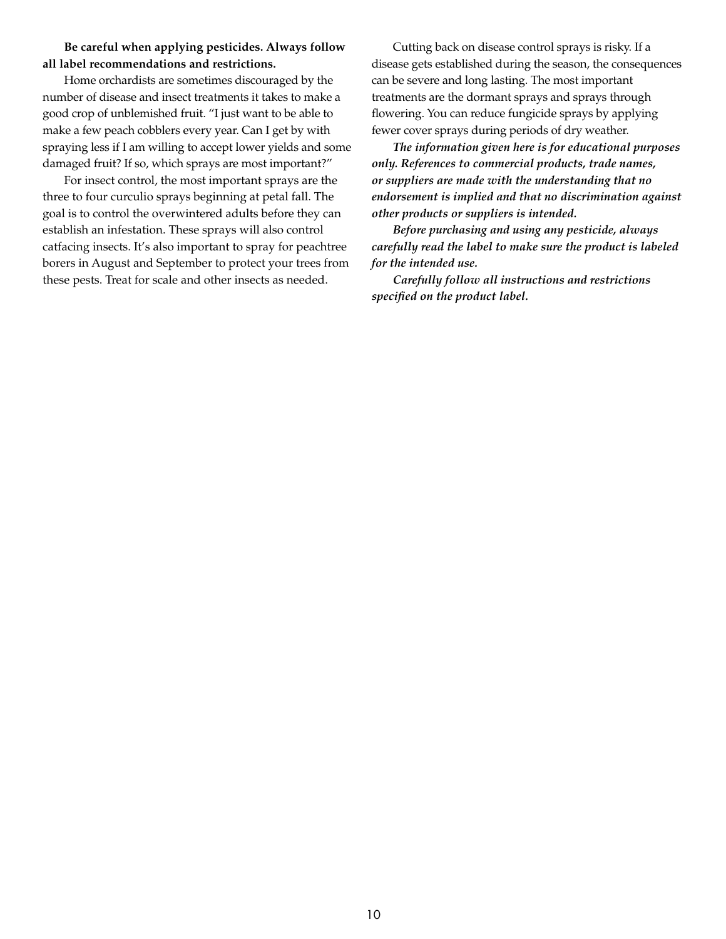## **Be careful when applying pesticides. Always follow all label recommendations and restrictions.**

Home orchardists are sometimes discouraged by the number of disease and insect treatments it takes to make a good crop of unblemished fruit. "I just want to be able to make a few peach cobblers every year. Can I get by with spraying less if I am willing to accept lower yields and some damaged fruit? If so, which sprays are most important?"

For insect control, the most important sprays are the three to four curculio sprays beginning at petal fall. The goal is to control the overwintered adults before they can establish an infestation. These sprays will also control catfacing insects. It's also important to spray for peachtree borers in August and September to protect your trees from these pests. Treat for scale and other insects as needed.

Cutting back on disease control sprays is risky. If a disease gets established during the season, the consequences can be severe and long lasting. The most important treatments are the dormant sprays and sprays through flowering. You can reduce fungicide sprays by applying fewer cover sprays during periods of dry weather.

*The information given here is for educational purposes only. References to commercial products, trade names, or suppliers are made with the understanding that no endorsement is implied and that no discrimination against other products or suppliers is intended.*

*Before purchasing and using any pesticide, always carefully read the label to make sure the product is labeled for the intended use.* 

*Carefully follow all instructions and restrictions specified on the product label.*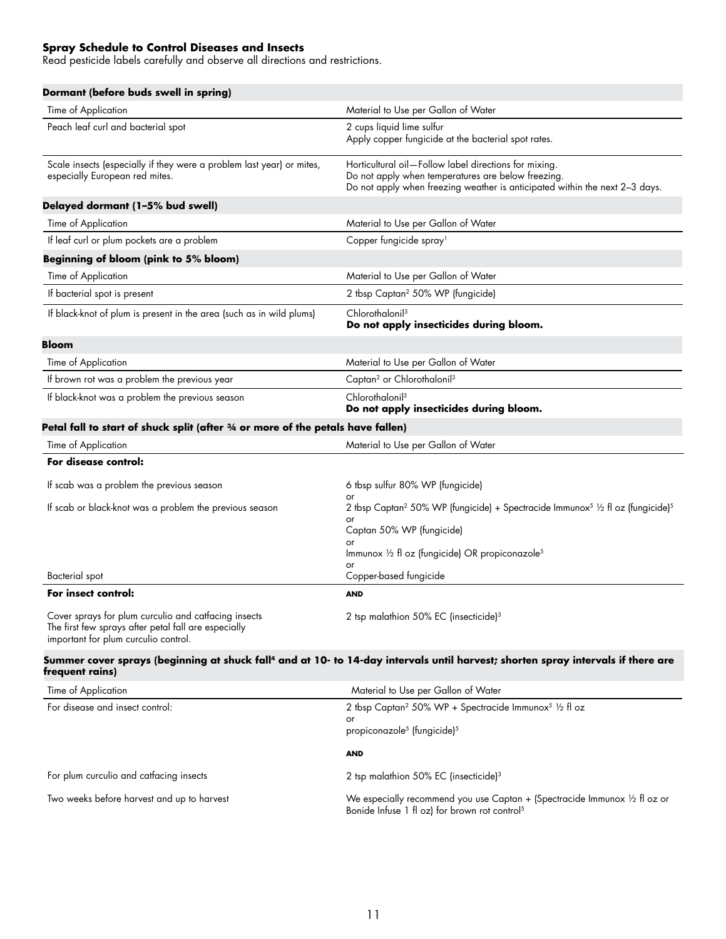#### **Spray Schedule to Control Diseases and Insects**

Read pesticide labels carefully and observe all directions and restrictions.

| Dormant (before buds swell in spring)                                                                                                                |                                                                                                                                                                                                                 |
|------------------------------------------------------------------------------------------------------------------------------------------------------|-----------------------------------------------------------------------------------------------------------------------------------------------------------------------------------------------------------------|
| Time of Application                                                                                                                                  | Material to Use per Gallon of Water                                                                                                                                                                             |
| Peach leaf curl and bacterial spot                                                                                                                   | 2 cups liquid lime sulfur<br>Apply copper fungicide at the bacterial spot rates.                                                                                                                                |
| Scale insects (especially if they were a problem last year) or mites,<br>especially European red mites.                                              | Horticultural oil-Follow label directions for mixing.<br>Do not apply when temperatures are below freezing.<br>Do not apply when freezing weather is anticipated within the next 2-3 days.                      |
| Delayed dormant (1-5% bud swell)                                                                                                                     |                                                                                                                                                                                                                 |
| Time of Application                                                                                                                                  | Material to Use per Gallon of Water                                                                                                                                                                             |
| If leaf curl or plum pockets are a problem                                                                                                           | Copper fungicide spray <sup>1</sup>                                                                                                                                                                             |
| Beginning of bloom (pink to 5% bloom)                                                                                                                |                                                                                                                                                                                                                 |
| Time of Application                                                                                                                                  | Material to Use per Gallon of Water                                                                                                                                                                             |
| If bacterial spot is present                                                                                                                         | 2 tbsp Captan <sup>2</sup> 50% WP (fungicide)                                                                                                                                                                   |
| If black-knot of plum is present in the area (such as in wild plums)                                                                                 | Chlorothalonil <sup>3</sup><br>Do not apply insecticides during bloom.                                                                                                                                          |
| Bloom                                                                                                                                                |                                                                                                                                                                                                                 |
| Time of Application                                                                                                                                  | Material to Use per Gallon of Water                                                                                                                                                                             |
| If brown rot was a problem the previous year                                                                                                         | Captan <sup>2</sup> or Chlorothalonil <sup>3</sup>                                                                                                                                                              |
| If black-knot was a problem the previous season                                                                                                      | Chlorothalonil <sup>3</sup><br>Do not apply insecticides during bloom.                                                                                                                                          |
| Petal fall to start of shuck split (after 3/4 or more of the petals have fallen)                                                                     |                                                                                                                                                                                                                 |
| Time of Application                                                                                                                                  | Material to Use per Gallon of Water                                                                                                                                                                             |
| For disease control:                                                                                                                                 |                                                                                                                                                                                                                 |
| If scab was a problem the previous season                                                                                                            | 6 tbsp sulfur 80% WP (fungicide)                                                                                                                                                                                |
| If scab or black-knot was a problem the previous season                                                                                              | 2 tbsp Captan <sup>2</sup> 50% WP (fungicide) + Spectracide Immunox <sup>5</sup> 1/2 fl oz (fungicide) <sup>5</sup><br>Captan 50% WP (fungicide)<br>Immunox 1/2 fl oz (fungicide) OR propiconazole <sup>5</sup> |
| Bacterial spot                                                                                                                                       | Copper-based fungicide                                                                                                                                                                                          |
| For insect control:                                                                                                                                  | <b>AND</b>                                                                                                                                                                                                      |
| Cover sprays for plum curculio and catfacing insects<br>The first few sprays after petal fall are especially<br>important for plum curculio control. | 2 tsp malathion 50% EC (insecticide) $3$                                                                                                                                                                        |
|                                                                                                                                                      |                                                                                                                                                                                                                 |

#### Summer cover sprays (beginning at shuck fall<sup>4</sup> and at 10- to 14-day intervals until harvest; shorten spray intervals if there are **frequent rains)**

| Time of Application                        | Material to Use per Gallon of Water                                                                                                               |
|--------------------------------------------|---------------------------------------------------------------------------------------------------------------------------------------------------|
| For disease and insect control:            | 2 tbsp Captan <sup>2</sup> 50% WP + Spectracide Immunox <sup>5</sup> 1/2 fl oz<br>or<br>propiconazole <sup>5</sup> (fungicide) <sup>5</sup>       |
|                                            | <b>AND</b>                                                                                                                                        |
| For plum curculio and catfacing insects    | 2 tsp malathion 50% EC (insecticide) <sup>3</sup>                                                                                                 |
| Two weeks before harvest and up to harvest | We especially recommend you use Captan + (Spectracide Immunox $\frac{1}{2}$ fl oz or<br>Bonide Infuse 1 fl oz) for brown rot control <sup>5</sup> |